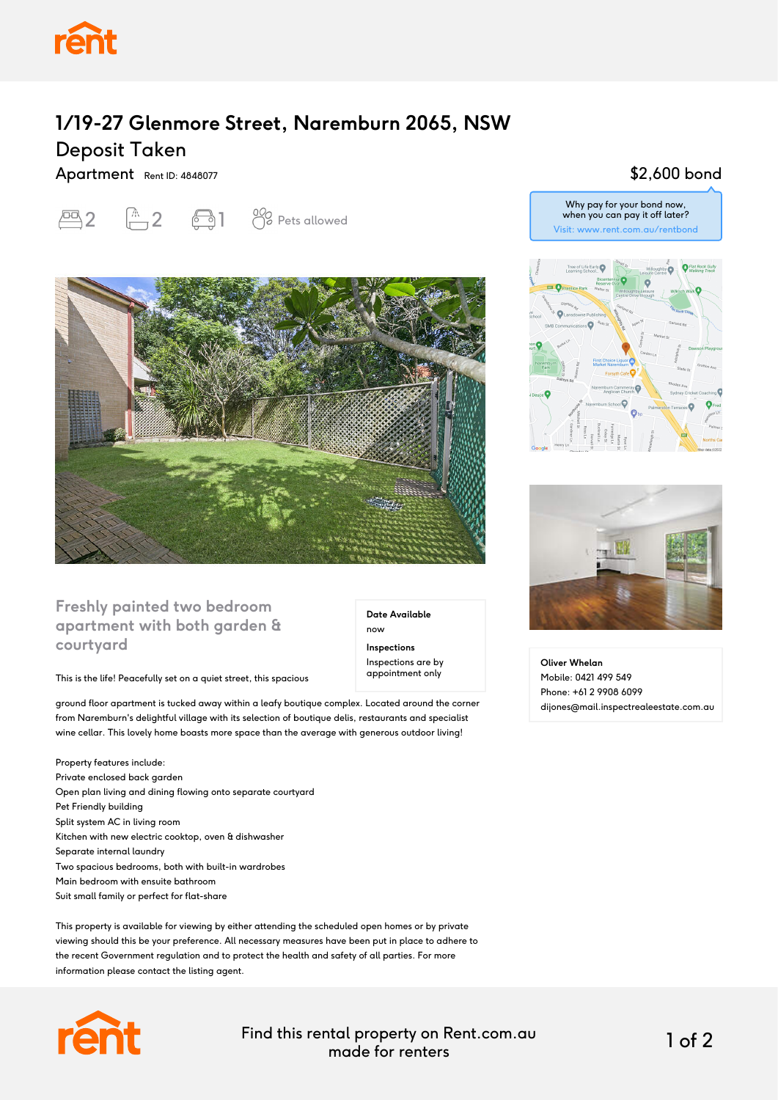

## **1/19-27 Glenmore Street, Naremburn 2065, NSW** Deposit Taken

Apartment Rent ID: 4848077





### **Freshly painted two bedroom apartment with both garden & courtyard**

#### This is the life! Peacefully set on a quiet street, this spacious

ground floor apartment is tucked away within a leafy boutique complex. Located around the corner from Naremburn's delightful village with its selection of boutique delis, restaurants and specialist wine cellar. This lovely home boasts more space than the average with generous outdoor living!

Property features include: Private enclosed back garden Open plan living and dining flowing onto separate courtyard Pet Friendly building Split system AC in living room Kitchen with new electric cooktop, oven & dishwasher Separate internal laundry Two spacious bedrooms, both with built-in wardrobes Main bedroom with ensuite bathroom Suit small family or perfect for flat-share

This property is available for viewing by either attending the scheduled open homes or by private viewing should this be your preference. All necessary measures have been put in place to adhere to the recent Government regulation and to protect the health and safety of all parties. For more information please contact the listing agent.



Find this rental property on Rent.com.au made for renters 1 of 2

**Date Available**

now **Inspections** Inspections are by appointment only

#### \$2,600 bond





**Oliver Whelan** Mobile: 0421 499 549 Phone: +61 2 9908 6099 dijones@mail.inspectrealeestate.com.au